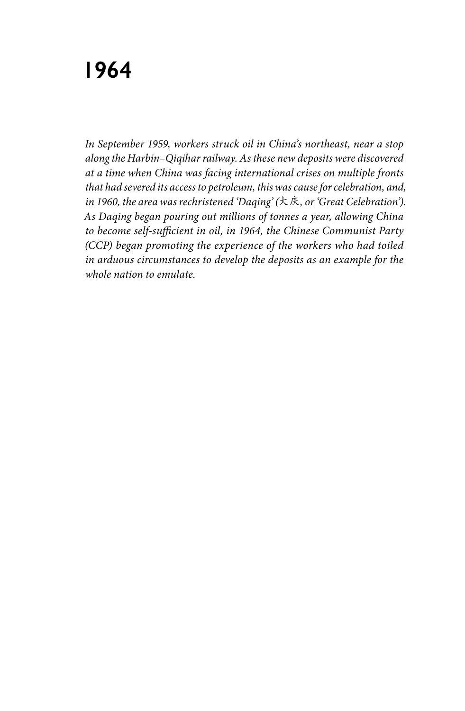## **1964**

*In September 1959, workers struck oil in China's northeast, near a stop along the Harbin–Qiqihar railway. As these new deposits were discovered at a time when China was facing international crises on multiple fronts that had severed its access to petroleum, this was cause for celebration, and, in 1960, the area was rechristened 'Daqing' (*大庆*, or 'Great Celebration'). As Daqing began pouring out millions of tonnes a year, allowing China to become self-sufficient in oil, in 1964, the Chinese Communist Party (CCP) began promoting the experience of the workers who had toiled in arduous circumstances to develop the deposits as an example for the whole nation to emulate.*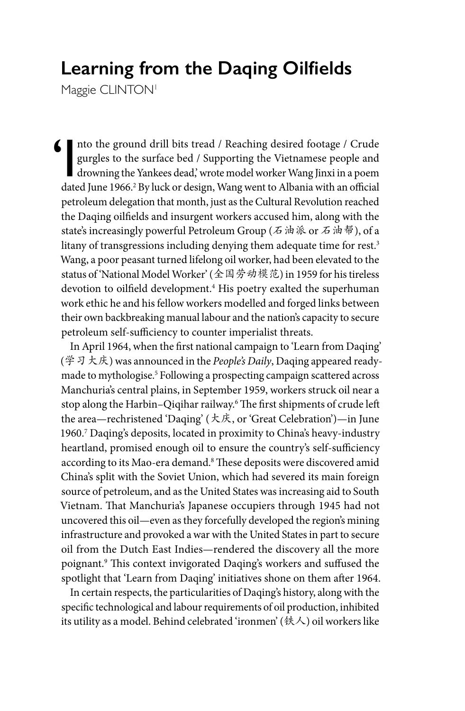## **Learning from the Daqing Oilfields**

Maggie CLINTON<sup>1</sup>

 $\blacksquare$  Into the ground drill bits tread / Reaching desired footage / Crude<br>gurgles to the surface bed / Supporting the Vietnamese people and<br>drowning the Yankees dead, wrote model worker Wang Jinxi in a poem<br>dated June 19 gurgles to the surface bed / Supporting the Vietnamese people and drowning the Yankees dead,' wrote model worker Wang Jinxi in a poem dated June 1966.<sup>2</sup> By luck or design, Wang went to Albania with an official petroleum delegation that month, just as the Cultural Revolution reached the Daqing oilfields and insurgent workers accused him, along with the state's increasingly powerful Petroleum Group (石油派 or 石油帮), of a litany of transgressions including denying them adequate time for rest.<sup>3</sup> Wang, a poor peasant turned lifelong oil worker, had been elevated to the status of 'National Model Worker' (全国劳动模范) in 1959 for his tireless devotion to oilfield development.4 His poetry exalted the superhuman work ethic he and his fellow workers modelled and forged links between their own backbreaking manual labour and the nation's capacity to secure petroleum self-sufficiency to counter imperialist threats.

In April 1964, when the first national campaign to 'Learn from Daqing' (学习大庆) was announced in the *People's Daily*, Daqing appeared readymade to mythologise.5 Following a prospecting campaign scattered across Manchuria's central plains, in September 1959, workers struck oil near a stop along the Harbin–Qiqihar railway.6 The first shipments of crude left the area—rechristened 'Daqing' (大庆, or 'Great Celebration')—in June 1960.7 Daqing's deposits, located in proximity to China's heavy-industry heartland, promised enough oil to ensure the country's self-sufficiency according to its Mao-era demand.8 These deposits were discovered amid China's split with the Soviet Union, which had severed its main foreign source of petroleum, and as the United States was increasing aid to South Vietnam. That Manchuria's Japanese occupiers through 1945 had not uncovered this oil—even as they forcefully developed the region's mining infrastructure and provoked a war with the United States in part to secure oil from the Dutch East Indies—rendered the discovery all the more poignant.9 This context invigorated Daqing's workers and suffused the spotlight that 'Learn from Daqing' initiatives shone on them after 1964.

In certain respects, the particularities of Daqing's history, along with the specific technological and labour requirements of oil production, inhibited its utility as a model. Behind celebrated 'ironmen' (铁人) oil workers like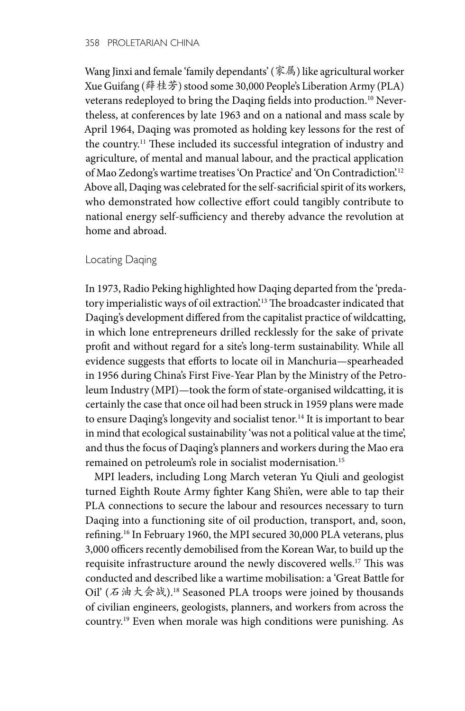Wang Jinxi and female 'family dependants' (家属) like agricultural worker Xue Guifang (薛桂芳) stood some 30,000 People's Liberation Army (PLA) veterans redeployed to bring the Daqing fields into production.10 Nevertheless, at conferences by late 1963 and on a national and mass scale by April 1964, Daqing was promoted as holding key lessons for the rest of the country.<sup>11</sup> These included its successful integration of industry and agriculture, of mental and manual labour, and the practical application of Mao Zedong's wartime treatises 'On Practice' and 'On Contradiction'.12 Above all, Daqing was celebrated for the self-sacrificial spirit of its workers, who demonstrated how collective effort could tangibly contribute to national energy self-sufficiency and thereby advance the revolution at home and abroad.

## Locating Daqing

In 1973, Radio Peking highlighted how Daqing departed from the 'predatory imperialistic ways of oil extraction'.13 The broadcaster indicated that Daqing's development differed from the capitalist practice of wildcatting, in which lone entrepreneurs drilled recklessly for the sake of private profit and without regard for a site's long-term sustainability. While all evidence suggests that efforts to locate oil in Manchuria—spearheaded in 1956 during China's First Five-Year Plan by the Ministry of the Petroleum Industry (MPI)—took the form of state-organised wildcatting, it is certainly the case that once oil had been struck in 1959 plans were made to ensure Daqing's longevity and socialist tenor.<sup>14</sup> It is important to bear in mind that ecological sustainability 'was not a political value at the time', and thus the focus of Daqing's planners and workers during the Mao era remained on petroleum's role in socialist modernisation.15

MPI leaders, including Long March veteran Yu Qiuli and geologist turned Eighth Route Army fighter Kang Shi'en, were able to tap their PLA connections to secure the labour and resources necessary to turn Daqing into a functioning site of oil production, transport, and, soon, refining.16 In February 1960, the MPI secured 30,000 PLA veterans, plus 3,000 officers recently demobilised from the Korean War, to build up the requisite infrastructure around the newly discovered wells.17 This was conducted and described like a wartime mobilisation: a 'Great Battle for Oil' (石油大会战).18 Seasoned PLA troops were joined by thousands of civilian engineers, geologists, planners, and workers from across the country.19 Even when morale was high conditions were punishing. As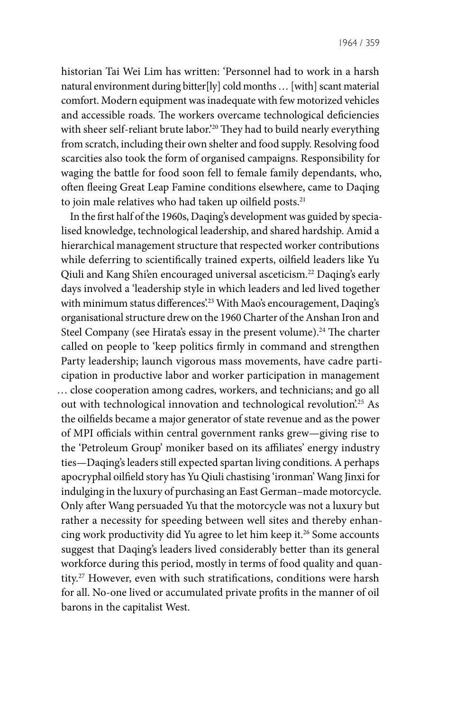historian Tai Wei Lim has written: 'Personnel had to work in a harsh natural environment during bitter[ly] cold months … [with] scant material comfort. Modern equipment was inadequate with few motorized vehicles and accessible roads. The workers overcame technological deficiencies with sheer self-reliant brute labor.<sup>20</sup> They had to build nearly everything from scratch, including their own shelter and food supply. Resolving food scarcities also took the form of organised campaigns. Responsibility for waging the battle for food soon fell to female family dependants, who, often fleeing Great Leap Famine conditions elsewhere, came to Daqing to join male relatives who had taken up oilfield posts.<sup>21</sup>

In the first half of the 1960s, Daqing's development was guided by specialised knowledge, technological leadership, and shared hardship. Amid a hierarchical management structure that respected worker contributions while deferring to scientifically trained experts, oilfield leaders like Yu Qiuli and Kang Shi'en encouraged universal asceticism.<sup>22</sup> Daqing's early days involved a 'leadership style in which leaders and led lived together with minimum status differences.<sup>23</sup> With Mao's encouragement, Daqing's organisational structure drew on the 1960 Charter of the Anshan Iron and Steel Company (see Hirata's essay in the present volume).<sup>24</sup> The charter called on people to 'keep politics firmly in command and strengthen Party leadership; launch vigorous mass movements, have cadre participation in productive labor and worker participation in management … close cooperation among cadres, workers, and technicians; and go all out with technological innovation and technological revolution.<sup>25</sup> As the oilfields became a major generator of state revenue and as the power of MPI officials within central government ranks grew—giving rise to the 'Petroleum Group' moniker based on its affiliates' energy industry ties—Daqing's leaders still expected spartan living conditions. A perhaps apocryphal oilfield story has Yu Qiuli chastising 'ironman' Wang Jinxi for indulging in the luxury of purchasing an East German–made motorcycle. Only after Wang persuaded Yu that the motorcycle was not a luxury but rather a necessity for speeding between well sites and thereby enhancing work productivity did Yu agree to let him keep it.<sup>26</sup> Some accounts suggest that Daqing's leaders lived considerably better than its general workforce during this period, mostly in terms of food quality and quantity.27 However, even with such stratifications, conditions were harsh for all. No-one lived or accumulated private profits in the manner of oil barons in the capitalist West.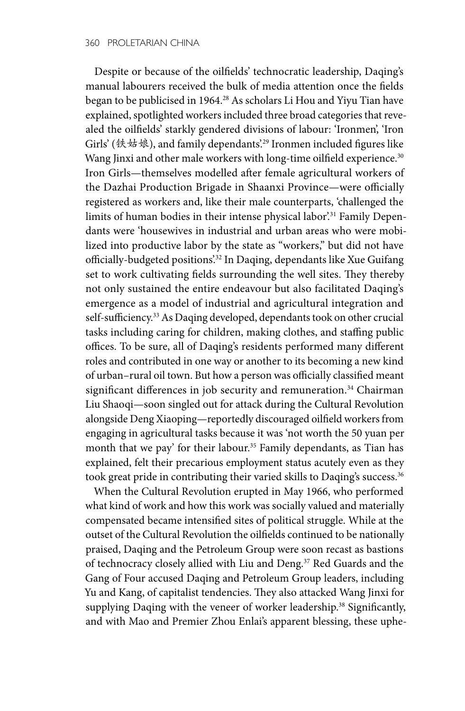Despite or because of the oilfields' technocratic leadership, Daqing's manual labourers received the bulk of media attention once the fields began to be publicised in 1964.28 As scholars Li Hou and Yiyu Tian have explained, spotlighted workers included three broad categories that revealed the oilfields' starkly gendered divisions of labour: 'Ironmen', 'Iron Girls' (铁姑娘), and family dependants'.29 Ironmen included figures like Wang Jinxi and other male workers with long-time oilfield experience.<sup>30</sup> Iron Girls—themselves modelled after female agricultural workers of the Dazhai Production Brigade in Shaanxi Province—were officially registered as workers and, like their male counterparts, 'challenged the limits of human bodies in their intense physical labor'.<sup>31</sup> Family Dependants were 'housewives in industrial and urban areas who were mobilized into productive labor by the state as "workers," but did not have officially-budgeted positions'.<sup>32</sup> In Daqing, dependants like Xue Guifang set to work cultivating fields surrounding the well sites. They thereby not only sustained the entire endeavour but also facilitated Daqing's emergence as a model of industrial and agricultural integration and self-sufficiency.33 As Daqing developed, dependants took on other crucial tasks including caring for children, making clothes, and staffing public offices. To be sure, all of Daqing's residents performed many different roles and contributed in one way or another to its becoming a new kind of urban–rural oil town. But how a person was officially classified meant significant differences in job security and remuneration.<sup>34</sup> Chairman Liu Shaoqi—soon singled out for attack during the Cultural Revolution alongside Deng Xiaoping—reportedly discouraged oilfield workers from engaging in agricultural tasks because it was 'not worth the 50 yuan per month that we pay' for their labour.<sup>35</sup> Family dependants, as Tian has explained, felt their precarious employment status acutely even as they took great pride in contributing their varied skills to Daqing's success.<sup>36</sup>

When the Cultural Revolution erupted in May 1966, who performed what kind of work and how this work was socially valued and materially compensated became intensified sites of political struggle. While at the outset of the Cultural Revolution the oilfields continued to be nationally praised, Daqing and the Petroleum Group were soon recast as bastions of technocracy closely allied with Liu and Deng.<sup>37</sup> Red Guards and the Gang of Four accused Daqing and Petroleum Group leaders, including Yu and Kang, of capitalist tendencies. They also attacked Wang Jinxi for supplying Daqing with the veneer of worker leadership.<sup>38</sup> Significantly, and with Mao and Premier Zhou Enlai's apparent blessing, these uphe-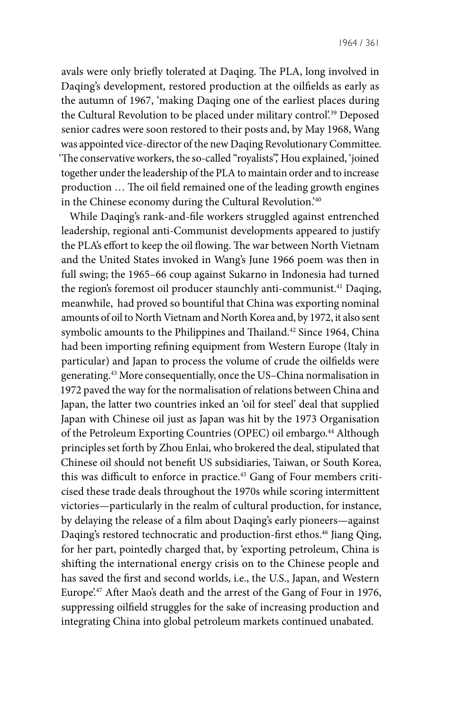avals were only briefly tolerated at Daqing. The PLA, long involved in Daqing's development, restored production at the oilfields as early as the autumn of 1967, 'making Daqing one of the earliest places during the Cultural Revolution to be placed under military control'.<sup>39</sup> Deposed senior cadres were soon restored to their posts and, by May 1968, Wang was appointed vice-director of the new Daqing Revolutionary Committee. 'The conservative workers, the so-called "royalists", Hou explained, 'joined together under the leadership of the PLA to maintain order and to increase production … The oil field remained one of the leading growth engines in the Chinese economy during the Cultural Revolution.'40

While Daqing's rank-and-file workers struggled against entrenched leadership, regional anti-Communist developments appeared to justify the PLA's effort to keep the oil flowing. The war between North Vietnam and the United States invoked in Wang's June 1966 poem was then in full swing; the 1965–66 coup against Sukarno in Indonesia had turned the region's foremost oil producer staunchly anti-communist.<sup>41</sup> Daqing, meanwhile, had proved so bountiful that China was exporting nominal amounts of oil to North Vietnam and North Korea and, by 1972, it also sent symbolic amounts to the Philippines and Thailand.<sup>42</sup> Since 1964, China had been importing refining equipment from Western Europe (Italy in particular) and Japan to process the volume of crude the oilfields were generating.43 More consequentially, once the US–China normalisation in 1972 paved the way for the normalisation of relations between China and Japan, the latter two countries inked an 'oil for steel' deal that supplied Japan with Chinese oil just as Japan was hit by the 1973 Organisation of the Petroleum Exporting Countries (OPEC) oil embargo.<sup>44</sup> Although principles set forth by Zhou Enlai, who brokered the deal, stipulated that Chinese oil should not benefit US subsidiaries, Taiwan, or South Korea, this was difficult to enforce in practice.<sup>45</sup> Gang of Four members criticised these trade deals throughout the 1970s while scoring intermittent victories—particularly in the realm of cultural production, for instance, by delaying the release of a film about Daqing's early pioneers—against Daqing's restored technocratic and production-first ethos.<sup>46</sup> Jiang Qing, for her part, pointedly charged that, by 'exporting petroleum, China is shifting the international energy crisis on to the Chinese people and has saved the first and second worlds, i.e., the U.S., Japan, and Western Europe'.<sup>47</sup> After Mao's death and the arrest of the Gang of Four in 1976, suppressing oilfield struggles for the sake of increasing production and integrating China into global petroleum markets continued unabated.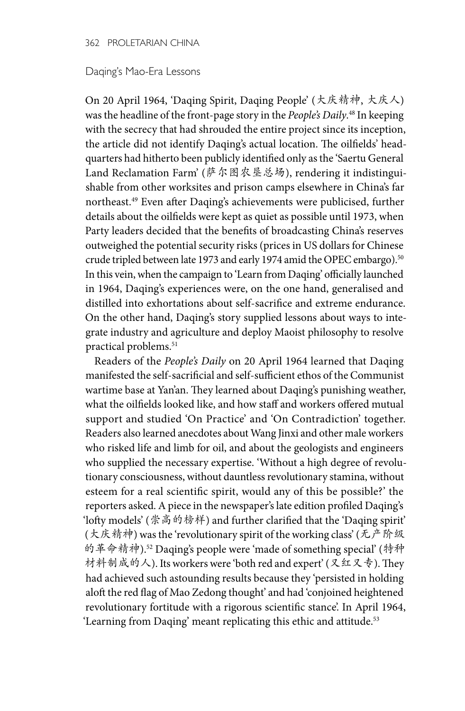## Daqing's Mao-Era Lessons

On 20 April 1964, 'Daqing Spirit, Daqing People' (大庆精神, 大庆人) was the headline of the front-page story in the *People's Daily*. 48 In keeping with the secrecy that had shrouded the entire project since its inception, the article did not identify Daqing's actual location. The oilfields' headquarters had hitherto been publicly identified only as the 'Saertu General Land Reclamation Farm' (萨尔图农垦总场), rendering it indistinguishable from other worksites and prison camps elsewhere in China's far northeast.49 Even after Daqing's achievements were publicised, further details about the oilfields were kept as quiet as possible until 1973, when Party leaders decided that the benefits of broadcasting China's reserves outweighed the potential security risks (prices in US dollars for Chinese crude tripled between late 1973 and early 1974 amid the OPEC embargo).50 In this vein, when the campaign to 'Learn from Daqing' officially launched in 1964, Daqing's experiences were, on the one hand, generalised and distilled into exhortations about self-sacrifice and extreme endurance. On the other hand, Daqing's story supplied lessons about ways to integrate industry and agriculture and deploy Maoist philosophy to resolve practical problems.<sup>51</sup>

Readers of the *People's Daily* on 20 April 1964 learned that Daqing manifested the self-sacrificial and self-sufficient ethos of the Communist wartime base at Yan'an. They learned about Daqing's punishing weather, what the oilfields looked like, and how staff and workers offered mutual support and studied 'On Practice' and 'On Contradiction' together. Readers also learned anecdotes about Wang Jinxi and other male workers who risked life and limb for oil, and about the geologists and engineers who supplied the necessary expertise. 'Without a high degree of revolutionary consciousness, without dauntless revolutionary stamina, without esteem for a real scientific spirit, would any of this be possible?' the reporters asked. A piece in the newspaper's late edition profiled Daqing's 'lofty models' (崇高的榜样) and further clarified that the 'Daqing spirit' (大庆精神) was the 'revolutionary spirit of the working class' (无产阶级 的革命精神).52 Daqing's people were 'made of something special' (特种 材料制成的人). Its workers were 'both red and expert' (又红又专). They had achieved such astounding results because they 'persisted in holding aloft the red flag of Mao Zedong thought' and had 'conjoined heightened revolutionary fortitude with a rigorous scientific stance'. In April 1964, 'Learning from Daqing' meant replicating this ethic and attitude.<sup>53</sup>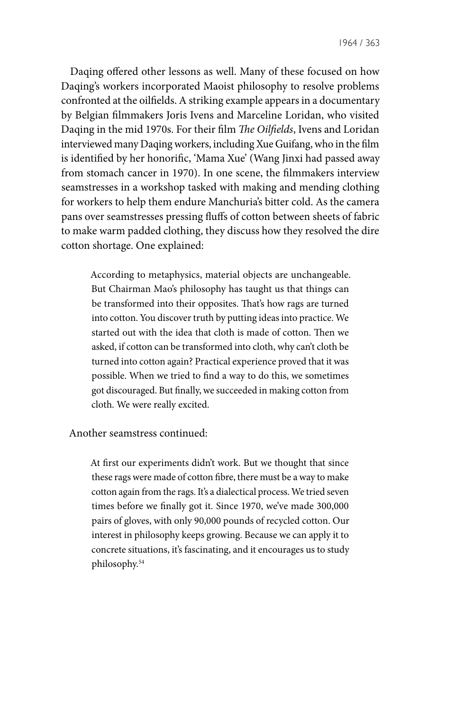1964 / 363

Daqing offered other lessons as well. Many of these focused on how Daqing's workers incorporated Maoist philosophy to resolve problems confronted at the oilfields. A striking example appears in a documentary by Belgian filmmakers Joris Ivens and Marceline Loridan, who visited Daqing in the mid 1970s. For their film *The Oilfields*, Ivens and Loridan interviewed many Daqing workers, including Xue Guifang, who in the film is identified by her honorific, 'Mama Xue' (Wang Jinxi had passed away from stomach cancer in 1970). In one scene, the filmmakers interview seamstresses in a workshop tasked with making and mending clothing for workers to help them endure Manchuria's bitter cold. As the camera pans over seamstresses pressing fluffs of cotton between sheets of fabric to make warm padded clothing, they discuss how they resolved the dire cotton shortage. One explained:

According to metaphysics, material objects are unchangeable. But Chairman Mao's philosophy has taught us that things can be transformed into their opposites. That's how rags are turned into cotton. You discover truth by putting ideas into practice. We started out with the idea that cloth is made of cotton. Then we asked, if cotton can be transformed into cloth, why can't cloth be turned into cotton again? Practical experience proved that it was possible. When we tried to find a way to do this, we sometimes got discouraged. But finally, we succeeded in making cotton from cloth. We were really excited.

Another seamstress continued:

At first our experiments didn't work. But we thought that since these rags were made of cotton fibre, there must be a way to make cotton again from the rags. It's a dialectical process. We tried seven times before we finally got it. Since 1970, we've made 300,000 pairs of gloves, with only 90,000 pounds of recycled cotton. Our interest in philosophy keeps growing. Because we can apply it to concrete situations, it's fascinating, and it encourages us to study philosophy.54